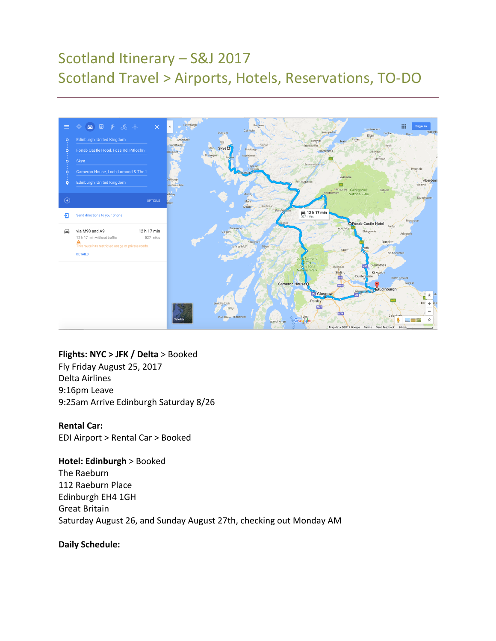# Scotland Itinerary - S&J 2017 Scotland Travel > Airports, Hotels, Reservations, TO-DO



#### **Flights: NYC > JFK / Delta** > Booked

Fly Friday August 25, 2017 Delta Airlines 9:16pm Leave 9:25am Arrive Edinburgh Saturday 8/26

#### **Rental Car:**

EDI Airport > Rental Car > Booked

## **Hotel: Edinburgh > Booked**

The Raeburn 112 Raeburn Place Edinburgh EH4 1GH Great Britain Saturday August 26, and Sunday August 27th, checking out Monday AM

## **Daily Schedule:**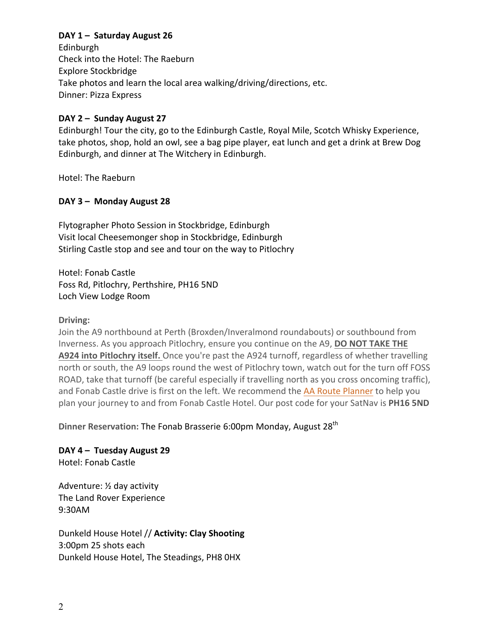## **DAY 1 - Saturday August 26**

Edinburgh Check into the Hotel: The Raeburn Explore Stockbridge Take photos and learn the local area walking/driving/directions, etc. Dinner: Pizza Express 

## DAY 2 - Sunday August 27

Edinburgh! Tour the city, go to the Edinburgh Castle, Royal Mile, Scotch Whisky Experience, take photos, shop, hold an owl, see a bag pipe player, eat lunch and get a drink at Brew Dog Edinburgh, and dinner at The Witchery in Edinburgh.

Hotel: The Raeburn

## DAY 3 - Monday August 28

Flytographer Photo Session in Stockbridge, Edinburgh Visit local Cheesemonger shop in Stockbridge, Edinburgh Stirling Castle stop and see and tour on the way to Pitlochry

Hotel: Fonab Castle Foss Rd, Pitlochry, Perthshire, PH16 5ND Loch View Lodge Room 

## **Driving:**

Join the A9 northbound at Perth (Broxden/Inveralmond roundabouts) or southbound from Inverness. As you approach Pitlochry, ensure you continue on the A9, **DO NOT TAKE THE** A924 into Pitlochry itself. Once you're past the A924 turnoff, regardless of whether travelling north or south, the A9 loops round the west of Pitlochry town, watch out for the turn off FOSS ROAD, take that turnoff (be careful especially if travelling north as you cross oncoming traffic), and Fonab Castle drive is first on the left. We recommend the AA Route Planner to help you plan your journey to and from Fonab Castle Hotel. Our post code for your SatNav is PH16 5ND

**Dinner Reservation:** The Fonab Brasserie 6:00pm Monday, August 28<sup>th</sup>

DAY 4 - Tuesday August 29 Hotel: Fonab Castle

Adventure:  $\frac{1}{2}$  day activity The Land Rover Experience 9:30AM 

Dunkeld House Hotel // **Activity: Clay Shooting** 3:00pm 25 shots each Dunkeld House Hotel, The Steadings, PH8 0HX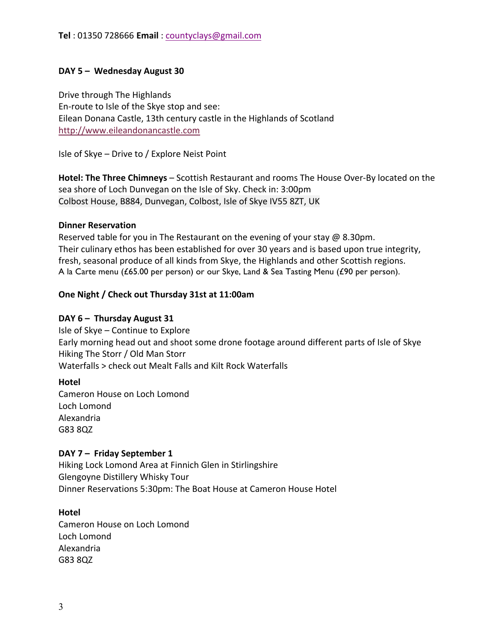## DAY 5 - Wednesday August 30

Drive through The Highlands En-route to Isle of the Skye stop and see: Eilean Donana Castle, 13th century castle in the Highlands of Scotland http://www.eileandonancastle.com

Isle of Skye – Drive to / Explore Neist Point

Hotel: The Three Chimneys – Scottish Restaurant and rooms The House Over-By located on the sea shore of Loch Dunvegan on the Isle of Sky. Check in: 3:00pm Colbost House, B884, Dunvegan, Colbost, Isle of Skye IV55 8ZT, UK

## **Dinner Reservation**

Reserved table for you in The Restaurant on the evening of your stay  $\omega$  8.30pm. Their culinary ethos has been established for over 30 years and is based upon true integrity, fresh, seasonal produce of all kinds from Skye, the Highlands and other Scottish regions. A la Carte menu (£65.00 per person) or our Skye, Land & Sea Tasting Menu (£90 per person).

## **One Night / Check out Thursday 31st at 11:00am**

## DAY 6 - Thursday August 31

Isle of  $Skye$  – Continue to Explore Early morning head out and shoot some drone footage around different parts of Isle of Skye Hiking The Storr / Old Man Storr Waterfalls > check out Mealt Falls and Kilt Rock Waterfalls

#### **Hotel**

Cameron House on Loch Lomond Loch Lomond Alexandria G83 8QZ

## DAY 7 - Friday September 1

Hiking Lock Lomond Area at Finnich Glen in Stirlingshire Glengoyne Distillery Whisky Tour Dinner Reservations 5:30pm: The Boat House at Cameron House Hotel

#### **Hotel**

Cameron House on Loch Lomond Loch Lomond Alexandria G83 8QZ